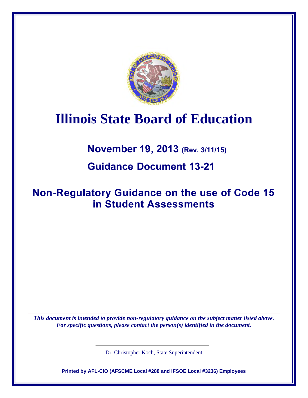

## **Illinois State Board of Education**

**November 19, 2013 (Rev. 3/11/15)**

**Guidance Document 13-21**

## **Non-Regulatory Guidance on the use of Code 15 in Student Assessments**

*This document is intended to provide non-regulatory guidance on the subject matter listed above. For specific questions, please contact the person(s) identified in the document.* 

Dr. Christopher Koch, State Superintendent

**Printed by AFL-CIO (AFSCME Local #288 and IFSOE Local #3236) Employees**